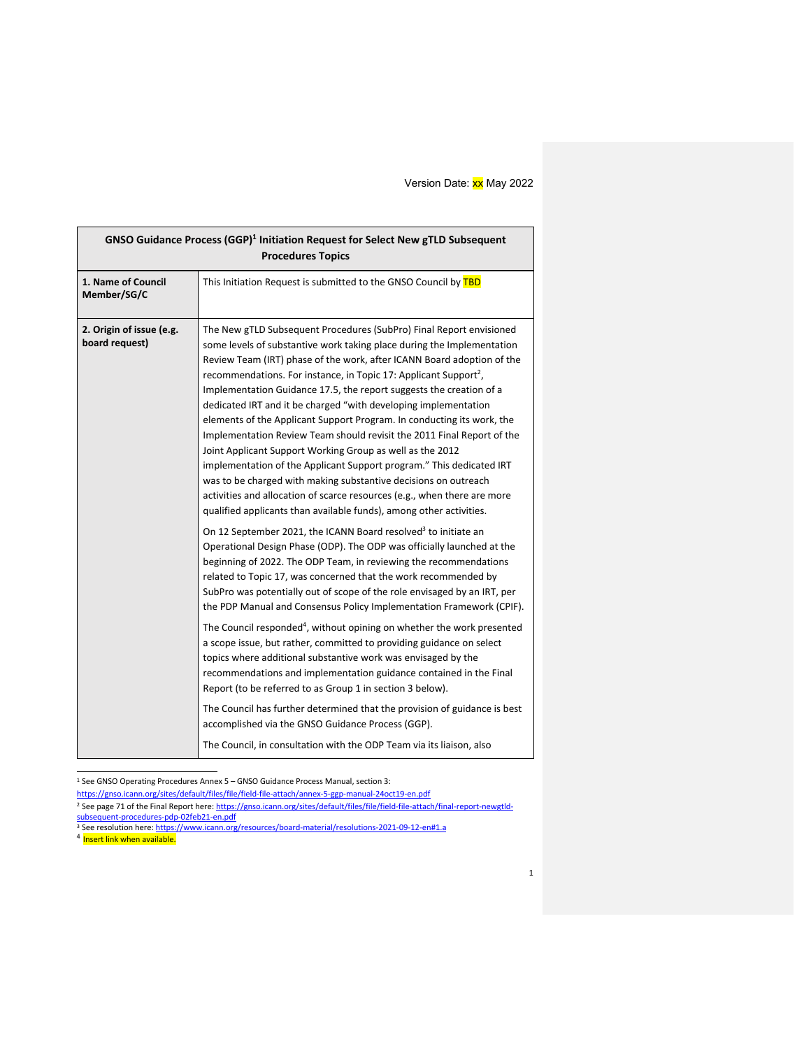| 1. Name of Council<br>This Initiation Request is submitted to the GNSO Council by TBD<br>Member/SG/C<br>2. Origin of issue (e.g.<br>The New gTLD Subsequent Procedures (SubPro) Final Report envisioned<br>board request)<br>some levels of substantive work taking place during the Implementation<br>Review Team (IRT) phase of the work, after ICANN Board adoption of the<br>recommendations. For instance, in Topic 17: Applicant Support <sup>2</sup> ,<br>Implementation Guidance 17.5, the report suggests the creation of a<br>dedicated IRT and it be charged "with developing implementation<br>elements of the Applicant Support Program. In conducting its work, the<br>Implementation Review Team should revisit the 2011 Final Report of the<br>Joint Applicant Support Working Group as well as the 2012<br>implementation of the Applicant Support program." This dedicated IRT<br>was to be charged with making substantive decisions on outreach<br>activities and allocation of scarce resources (e.g., when there are more<br>qualified applicants than available funds), among other activities.<br>On 12 September 2021, the ICANN Board resolved <sup>3</sup> to initiate an<br>Operational Design Phase (ODP). The ODP was officially launched at the<br>beginning of 2022. The ODP Team, in reviewing the recommendations<br>related to Topic 17, was concerned that the work recommended by<br>SubPro was potentially out of scope of the role envisaged by an IRT, per<br>the PDP Manual and Consensus Policy Implementation Framework (CPIF).<br>The Council responded <sup>4</sup> , without opining on whether the work presented<br>a scope issue, but rather, committed to providing guidance on select<br>topics where additional substantive work was envisaged by the<br>recommendations and implementation guidance contained in the Final<br>Report (to be referred to as Group 1 in section 3 below).<br>The Council has further determined that the provision of guidance is best<br>accomplished via the GNSO Guidance Process (GGP). | GNSO Guidance Process (GGP) <sup>1</sup> Initiation Request for Select New gTLD Subsequent<br><b>Procedures Topics</b> |                                                                      |  |
|--------------------------------------------------------------------------------------------------------------------------------------------------------------------------------------------------------------------------------------------------------------------------------------------------------------------------------------------------------------------------------------------------------------------------------------------------------------------------------------------------------------------------------------------------------------------------------------------------------------------------------------------------------------------------------------------------------------------------------------------------------------------------------------------------------------------------------------------------------------------------------------------------------------------------------------------------------------------------------------------------------------------------------------------------------------------------------------------------------------------------------------------------------------------------------------------------------------------------------------------------------------------------------------------------------------------------------------------------------------------------------------------------------------------------------------------------------------------------------------------------------------------------------------------------------------------------------------------------------------------------------------------------------------------------------------------------------------------------------------------------------------------------------------------------------------------------------------------------------------------------------------------------------------------------------------------------------------------------------------------------------------------------------------------------------------------------------|------------------------------------------------------------------------------------------------------------------------|----------------------------------------------------------------------|--|
|                                                                                                                                                                                                                                                                                                                                                                                                                                                                                                                                                                                                                                                                                                                                                                                                                                                                                                                                                                                                                                                                                                                                                                                                                                                                                                                                                                                                                                                                                                                                                                                                                                                                                                                                                                                                                                                                                                                                                                                                                                                                                |                                                                                                                        |                                                                      |  |
|                                                                                                                                                                                                                                                                                                                                                                                                                                                                                                                                                                                                                                                                                                                                                                                                                                                                                                                                                                                                                                                                                                                                                                                                                                                                                                                                                                                                                                                                                                                                                                                                                                                                                                                                                                                                                                                                                                                                                                                                                                                                                |                                                                                                                        | The Council, in consultation with the ODP Team via its liaison, also |  |

<sup>1</sup> See GNSO Operating Procedures Annex 5 – GNSO Guidance Process Manual, section 3:

https://gnso.icann.org/sites/default/files/file/field-file-attach/annex-5-ggp-manual-24oct19-en.pdf

<sup>&</sup>lt;sup>2</sup> See page 71 of the Final Report here: https://gnso.icann.org/sites/default/files/file/field-file-attach/final-report-newgtldsubsequent-procedures-pdp-02feb21-en.pdf

<sup>&</sup>lt;sup>3</sup> See resolution here: <u>https://www.icann.org/resources/board-material/resolutions-2021-09-12-en#1.a<br><sup>4</sup> I<mark>nsert link when available.</mark></u>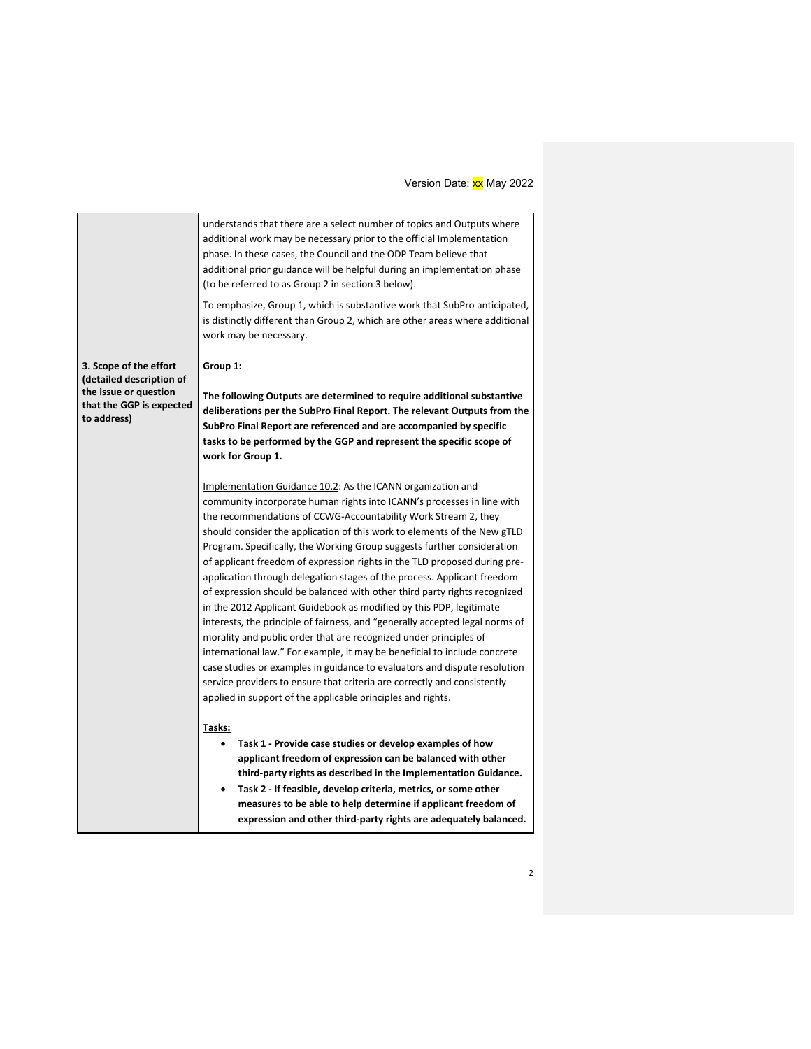|                                                                                                                        | understands that there are a select number of topics and Outputs where<br>additional work may be necessary prior to the official Implementation<br>phase. In these cases, the Council and the ODP Team believe that<br>additional prior guidance will be helpful during an implementation phase<br>(to be referred to as Group 2 in section 3 below).<br>To emphasize, Group 1, which is substantive work that SubPro anticipated,<br>is distinctly different than Group 2, which are other areas where additional<br>work may be necessary.                                                                                                                                                                                                                                                                                                                                                                                                                                                                                                                                                                                                                                                                                                                                                                                                                                                                                                                                                                                                    |
|------------------------------------------------------------------------------------------------------------------------|-------------------------------------------------------------------------------------------------------------------------------------------------------------------------------------------------------------------------------------------------------------------------------------------------------------------------------------------------------------------------------------------------------------------------------------------------------------------------------------------------------------------------------------------------------------------------------------------------------------------------------------------------------------------------------------------------------------------------------------------------------------------------------------------------------------------------------------------------------------------------------------------------------------------------------------------------------------------------------------------------------------------------------------------------------------------------------------------------------------------------------------------------------------------------------------------------------------------------------------------------------------------------------------------------------------------------------------------------------------------------------------------------------------------------------------------------------------------------------------------------------------------------------------------------|
| 3. Scope of the effort<br>(detailed description of<br>the issue or question<br>that the GGP is expected<br>to address) | Group 1:<br>The following Outputs are determined to require additional substantive<br>deliberations per the SubPro Final Report. The relevant Outputs from the<br>SubPro Final Report are referenced and are accompanied by specific<br>tasks to be performed by the GGP and represent the specific scope of<br>work for Group 1.<br>Implementation Guidance 10.2: As the ICANN organization and<br>community incorporate human rights into ICANN's processes in line with<br>the recommendations of CCWG-Accountability Work Stream 2, they<br>should consider the application of this work to elements of the New gTLD<br>Program. Specifically, the Working Group suggests further consideration<br>of applicant freedom of expression rights in the TLD proposed during pre-<br>application through delegation stages of the process. Applicant freedom<br>of expression should be balanced with other third party rights recognized<br>in the 2012 Applicant Guidebook as modified by this PDP, legitimate<br>interests, the principle of fairness, and "generally accepted legal norms of<br>morality and public order that are recognized under principles of<br>international law." For example, it may be beneficial to include concrete<br>case studies or examples in guidance to evaluators and dispute resolution<br>service providers to ensure that criteria are correctly and consistently<br>applied in support of the applicable principles and rights.<br>Tasks:<br>Task 1 - Provide case studies or develop examples of how |
|                                                                                                                        | applicant freedom of expression can be balanced with other<br>third-party rights as described in the Implementation Guidance.                                                                                                                                                                                                                                                                                                                                                                                                                                                                                                                                                                                                                                                                                                                                                                                                                                                                                                                                                                                                                                                                                                                                                                                                                                                                                                                                                                                                                   |
|                                                                                                                        | Task 2 - If feasible, develop criteria, metrics, or some other<br>$\bullet$                                                                                                                                                                                                                                                                                                                                                                                                                                                                                                                                                                                                                                                                                                                                                                                                                                                                                                                                                                                                                                                                                                                                                                                                                                                                                                                                                                                                                                                                     |
|                                                                                                                        | measures to be able to help determine if applicant freedom of                                                                                                                                                                                                                                                                                                                                                                                                                                                                                                                                                                                                                                                                                                                                                                                                                                                                                                                                                                                                                                                                                                                                                                                                                                                                                                                                                                                                                                                                                   |
|                                                                                                                        | expression and other third-party rights are adequately balanced.                                                                                                                                                                                                                                                                                                                                                                                                                                                                                                                                                                                                                                                                                                                                                                                                                                                                                                                                                                                                                                                                                                                                                                                                                                                                                                                                                                                                                                                                                |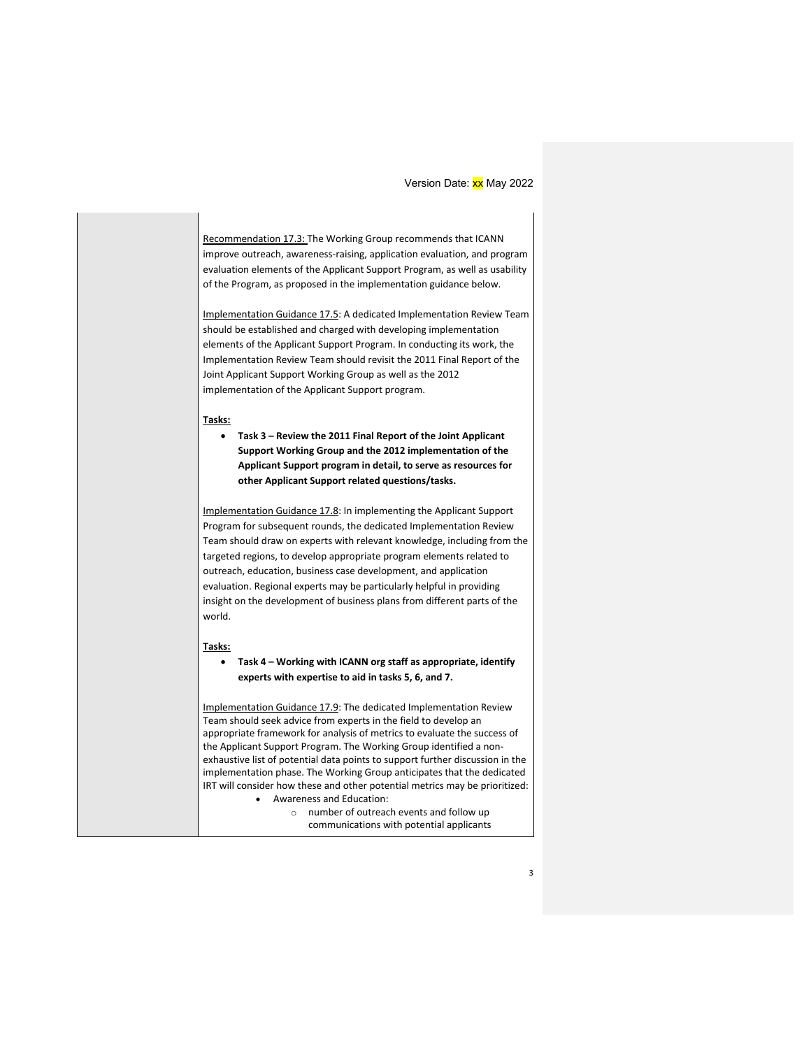Recommendation 17.3: The Working Group recommends that ICANN improve outreach, awareness-raising, application evaluation, and program evaluation elements of the Applicant Support Program, as well as usability of the Program, as proposed in the implementation guidance below.

Implementation Guidance 17.5: A dedicated Implementation Review Team should be established and charged with developing implementation elements of the Applicant Support Program. In conducting its work, the Implementation Review Team should revisit the 2011 Final Report of the Joint Applicant Support Working Group as well as the 2012 implementation of the Applicant Support program.

#### **Tasks:**

• **Task 3 – Review the 2011 Final Report of the Joint Applicant Support Working Group and the 2012 implementation of the Applicant Support program in detail, to serve as resources for other Applicant Support related questions/tasks.**

Implementation Guidance 17.8: In implementing the Applicant Support Program for subsequent rounds, the dedicated Implementation Review Team should draw on experts with relevant knowledge, including from the targeted regions, to develop appropriate program elements related to outreach, education, business case development, and application evaluation. Regional experts may be particularly helpful in providing insight on the development of business plans from different parts of the world.

#### **Tasks:**

• **Task 4 – Working with ICANN org staff as appropriate, identify experts with expertise to aid in tasks 5, 6, and 7.**

Implementation Guidance 17.9: The dedicated Implementation Review Team should seek advice from experts in the field to develop an appropriate framework for analysis of metrics to evaluate the success of the Applicant Support Program. The Working Group identified a nonexhaustive list of potential data points to support further discussion in the implementation phase. The Working Group anticipates that the dedicated IRT will consider how these and other potential metrics may be prioritized: • Awareness and Education:

o number of outreach events and follow up communications with potential applicants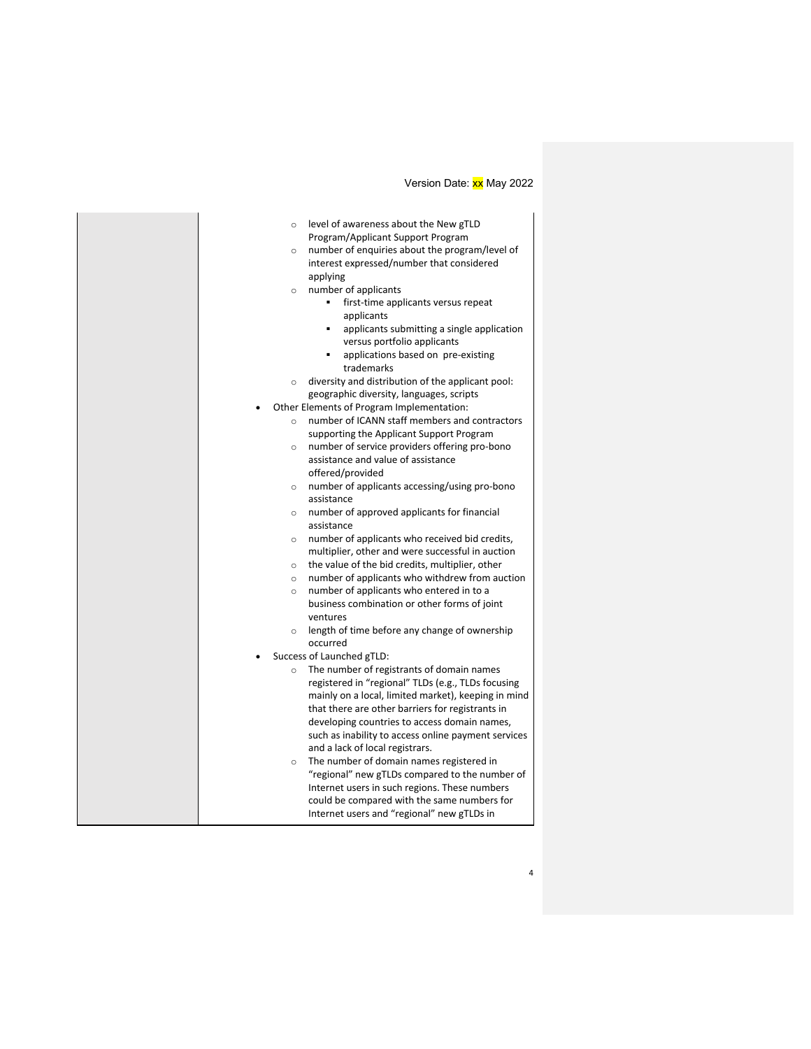| $\circ$ | level of awareness about the New gTLD                        |
|---------|--------------------------------------------------------------|
|         | Program/Applicant Support Program                            |
| $\circ$ | number of enquiries about the program/level of               |
|         | interest expressed/number that considered                    |
|         | applying                                                     |
| $\circ$ | number of applicants                                         |
|         | first-time applicants versus repeat                          |
|         | applicants                                                   |
|         | applicants submitting a single application<br>$\blacksquare$ |
|         | versus portfolio applicants                                  |
|         | applications based on pre-existing                           |
|         | trademarks                                                   |
| $\circ$ | diversity and distribution of the applicant pool:            |
|         | geographic diversity, languages, scripts                     |
|         | Other Elements of Program Implementation:                    |
| $\circ$ | number of ICANN staff members and contractors                |
|         | supporting the Applicant Support Program                     |
| $\circ$ | number of service providers offering pro-bono                |
|         | assistance and value of assistance                           |
|         | offered/provided                                             |
| $\circ$ | number of applicants accessing/using pro-bono                |
|         | assistance                                                   |
| $\circ$ | number of approved applicants for financial                  |
|         | assistance                                                   |
| $\circ$ | number of applicants who received bid credits,               |
|         | multiplier, other and were successful in auction             |
|         | $\circ$ the value of the bid credits, multiplier, other      |
| $\circ$ | number of applicants who withdrew from auction               |
| $\circ$ | number of applicants who entered in to a                     |
|         | business combination or other forms of joint                 |
|         | ventures                                                     |
|         | $\circ$ length of time before any change of ownership        |
|         | occurred                                                     |
|         | Success of Launched gTLD:                                    |
| $\circ$ | The number of registrants of domain names                    |
|         | registered in "regional" TLDs (e.g., TLDs focusing           |
|         | mainly on a local, limited market), keeping in mind          |
|         | that there are other barriers for registrants in             |
|         | developing countries to access domain names,                 |
|         | such as inability to access online payment services          |
|         | and a lack of local registrars.                              |
| $\circ$ | The number of domain names registered in                     |
|         | "regional" new gTLDs compared to the number of               |
|         | Internet users in such regions. These numbers                |
|         | could be compared with the same numbers for                  |
|         | Internet users and "regional" new gTLDs in                   |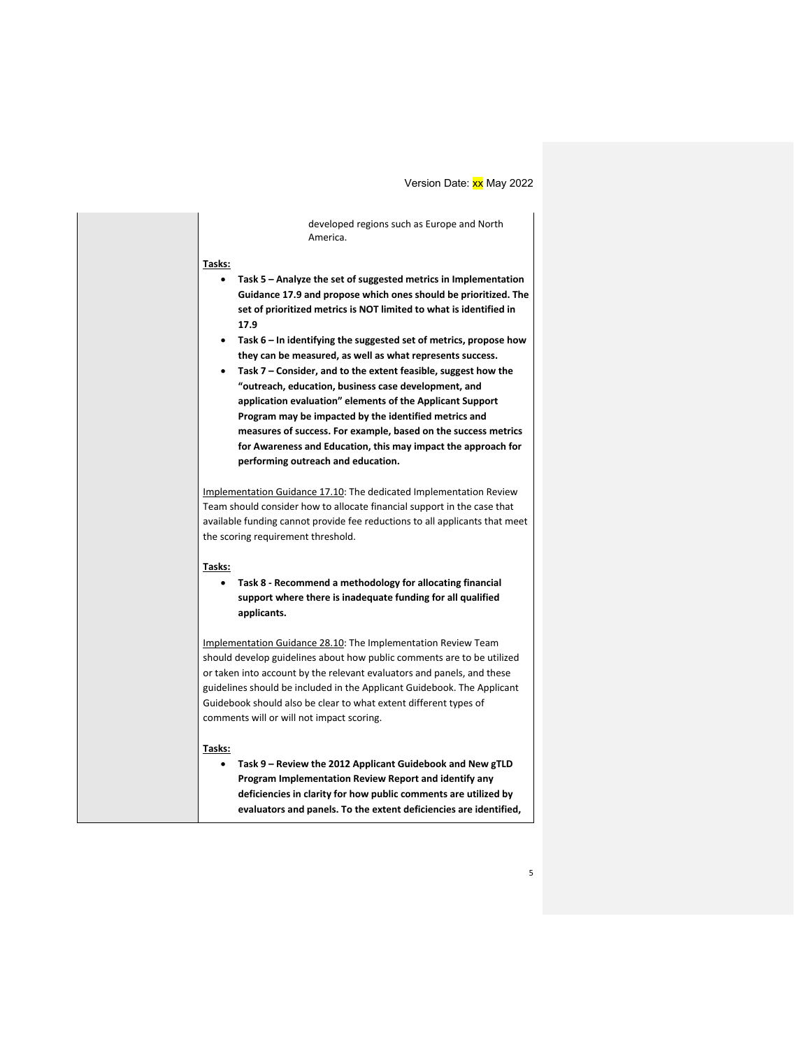developed regions such as Europe and North America.

## **Tasks:**

- **Task 5 – Analyze the set of suggested metrics in Implementation Guidance 17.9 and propose which ones should be prioritized. The set of prioritized metrics is NOT limited to what is identified in 17.9**
- **Task 6 – In identifying the suggested set of metrics, propose how they can be measured, as well as what represents success.**
- **Task 7 – Consider, and to the extent feasible, suggest how the "outreach, education, business case development, and application evaluation" elements of the Applicant Support Program may be impacted by the identified metrics and measures of success. For example, based on the success metrics for Awareness and Education, this may impact the approach for performing outreach and education.**

Implementation Guidance 17.10: The dedicated Implementation Review Team should consider how to allocate financial support in the case that available funding cannot provide fee reductions to all applicants that meet the scoring requirement threshold.

## **Tasks:**

• **Task 8 - Recommend a methodology for allocating financial support where there is inadequate funding for all qualified applicants.**

Implementation Guidance 28.10: The Implementation Review Team should develop guidelines about how public comments are to be utilized or taken into account by the relevant evaluators and panels, and these guidelines should be included in the Applicant Guidebook. The Applicant Guidebook should also be clear to what extent different types of comments will or will not impact scoring.

## **Tasks:**

• **Task 9 – Review the 2012 Applicant Guidebook and New gTLD Program Implementation Review Report and identify any deficiencies in clarity for how public comments are utilized by evaluators and panels. To the extent deficiencies are identified,**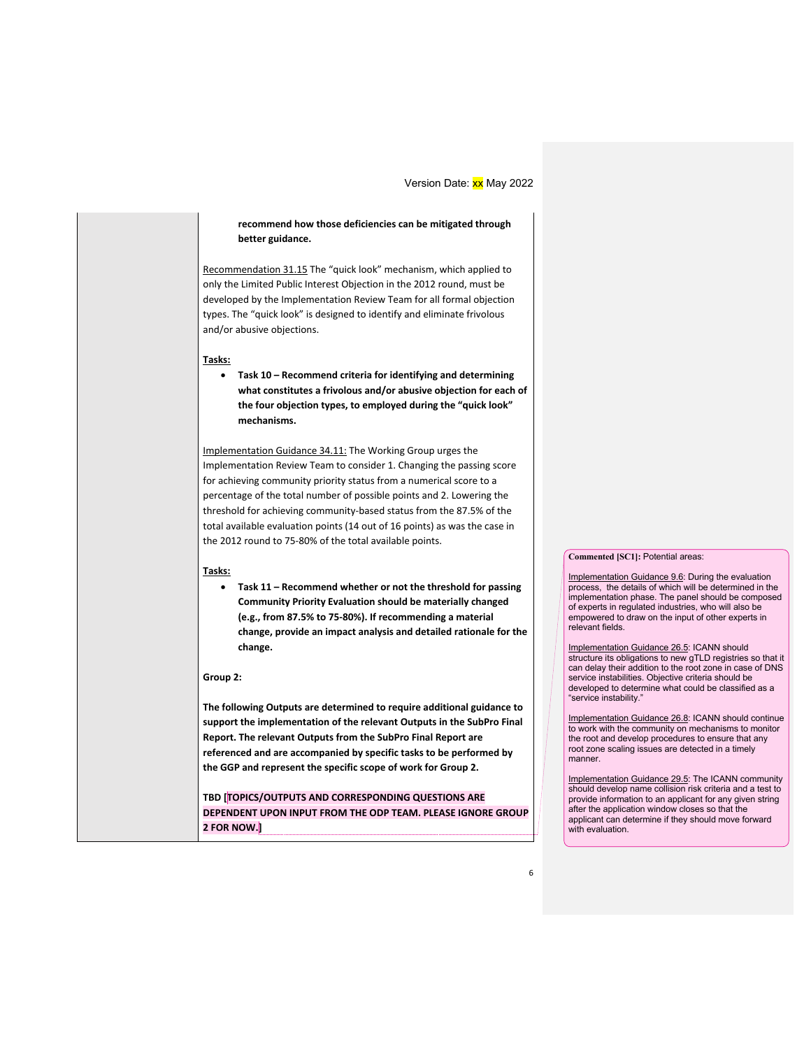## **recommend how those deficiencies can be mitigated through better guidance.**

Recommendation 31.15 The "quick look" mechanism, which applied to only the Limited Public Interest Objection in the 2012 round, must be developed by the Implementation Review Team for all formal objection types. The "quick look" is designed to identify and eliminate frivolous and/or abusive objections.

#### **Tasks:**

• **Task 10 – Recommend criteria for identifying and determining what constitutes a frivolous and/or abusive objection for each of the four objection types, to employed during the "quick look" mechanisms.**

Implementation Guidance 34.11: The Working Group urges the Implementation Review Team to consider 1. Changing the passing score for achieving community priority status from a numerical score to a percentage of the total number of possible points and 2. Lowering the threshold for achieving community-based status from the 87.5% of the total available evaluation points (14 out of 16 points) as was the case in the 2012 round to 75-80% of the total available points.

## **Tasks:**

• **Task 11 – Recommend whether or not the threshold for passing Community Priority Evaluation should be materially changed (e.g., from 87.5% to 75-80%). If recommending a material change, provide an impact analysis and detailed rationale for the change.**

### **Group 2:**

**The following Outputs are determined to require additional guidance to support the implementation of the relevant Outputs in the SubPro Final Report. The relevant Outputs from the SubPro Final Report are referenced and are accompanied by specific tasks to be performed by the GGP and represent the specific scope of work for Group 2.**

**TBD [TOPICS/OUTPUTS AND CORRESPONDING QUESTIONS ARE DEPENDENT UPON INPUT FROM THE ODP TEAM. PLEASE IGNORE GROUP 2 FOR NOW.]**

#### **Commented [SC1]:** Potential areas:

Implementation Guidance 9.6: During the evaluation process, the details of which will be determined in the implementation phase. The panel should be composed of experts in regulated industries, who will also be empowered to draw on the input of other experts in relevant fields.

Implementation Guidance 26.5: ICANN should structure its obligations to new gTLD registries so that it can delay their addition to the root zone in case of DNS service instabilities. Objective criteria should be developed to determine what could be classified as a "service instability."

Implementation Guidance 26.8: ICANN should continue to work with the community on mechanisms to monitor the root and develop procedures to ensure that any root zone scaling issues are detected in a timely manner.

Implementation Guidance 29.5: The ICANN community should develop name collision risk criteria and a test to provide information to an applicant for any given string after the application window closes so that the applicant can determine if they should move forward with evaluation.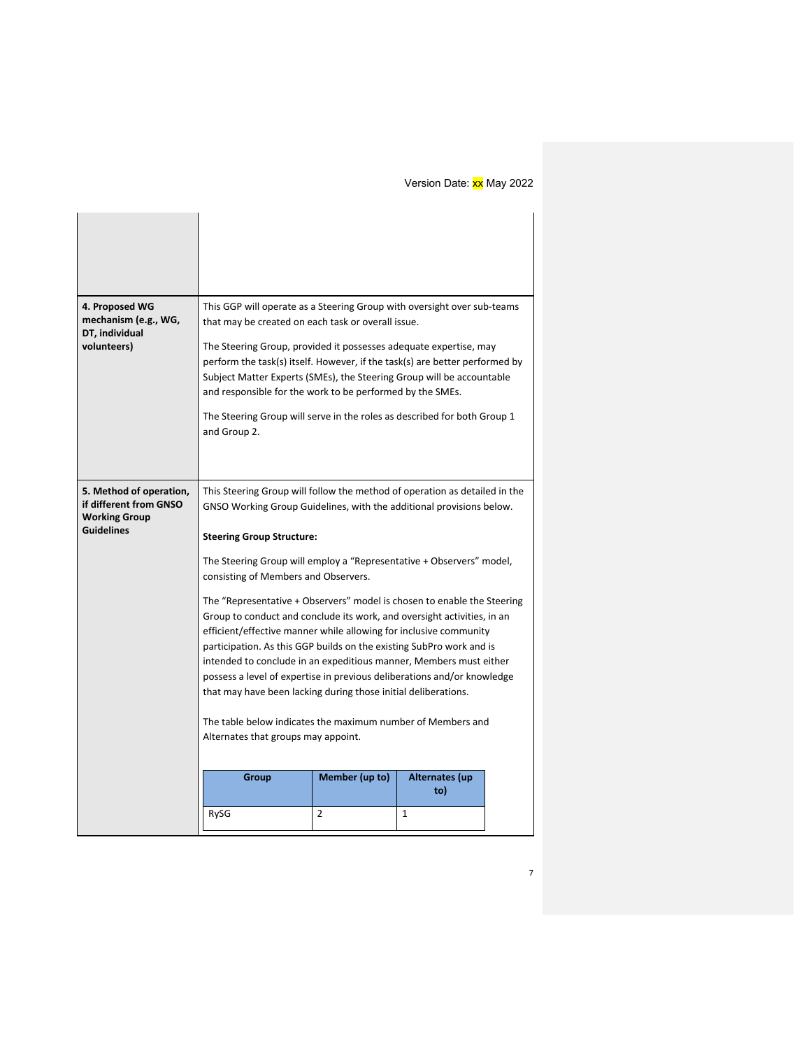| 4. Proposed WG<br>mechanism (e.g., WG,                                    | This GGP will operate as a Steering Group with oversight over sub-teams<br>that may be created on each task or overall issue.                                                                                                                                                                                                                                                                                                                                                                                      |                |                       |  |
|---------------------------------------------------------------------------|--------------------------------------------------------------------------------------------------------------------------------------------------------------------------------------------------------------------------------------------------------------------------------------------------------------------------------------------------------------------------------------------------------------------------------------------------------------------------------------------------------------------|----------------|-----------------------|--|
| DT, individual<br>volunteers)                                             | The Steering Group, provided it possesses adequate expertise, may<br>perform the task(s) itself. However, if the task(s) are better performed by<br>Subject Matter Experts (SMEs), the Steering Group will be accountable<br>and responsible for the work to be performed by the SMEs.                                                                                                                                                                                                                             |                |                       |  |
|                                                                           | The Steering Group will serve in the roles as described for both Group 1<br>and Group 2.                                                                                                                                                                                                                                                                                                                                                                                                                           |                |                       |  |
| 5. Method of operation,<br>if different from GNSO<br><b>Working Group</b> | This Steering Group will follow the method of operation as detailed in the<br>GNSO Working Group Guidelines, with the additional provisions below.                                                                                                                                                                                                                                                                                                                                                                 |                |                       |  |
| <b>Guidelines</b>                                                         | <b>Steering Group Structure:</b>                                                                                                                                                                                                                                                                                                                                                                                                                                                                                   |                |                       |  |
|                                                                           | The Steering Group will employ a "Representative + Observers" model,<br>consisting of Members and Observers.                                                                                                                                                                                                                                                                                                                                                                                                       |                |                       |  |
|                                                                           | The "Representative + Observers" model is chosen to enable the Steering<br>Group to conduct and conclude its work, and oversight activities, in an<br>efficient/effective manner while allowing for inclusive community<br>participation. As this GGP builds on the existing SubPro work and is<br>intended to conclude in an expeditious manner, Members must either<br>possess a level of expertise in previous deliberations and/or knowledge<br>that may have been lacking during those initial deliberations. |                |                       |  |
|                                                                           | The table below indicates the maximum number of Members and<br>Alternates that groups may appoint.                                                                                                                                                                                                                                                                                                                                                                                                                 |                |                       |  |
|                                                                           | Group                                                                                                                                                                                                                                                                                                                                                                                                                                                                                                              | Member (up to) | <b>Alternates (up</b> |  |
|                                                                           |                                                                                                                                                                                                                                                                                                                                                                                                                                                                                                                    |                | to)                   |  |
|                                                                           | RySG                                                                                                                                                                                                                                                                                                                                                                                                                                                                                                               | 2              | 1                     |  |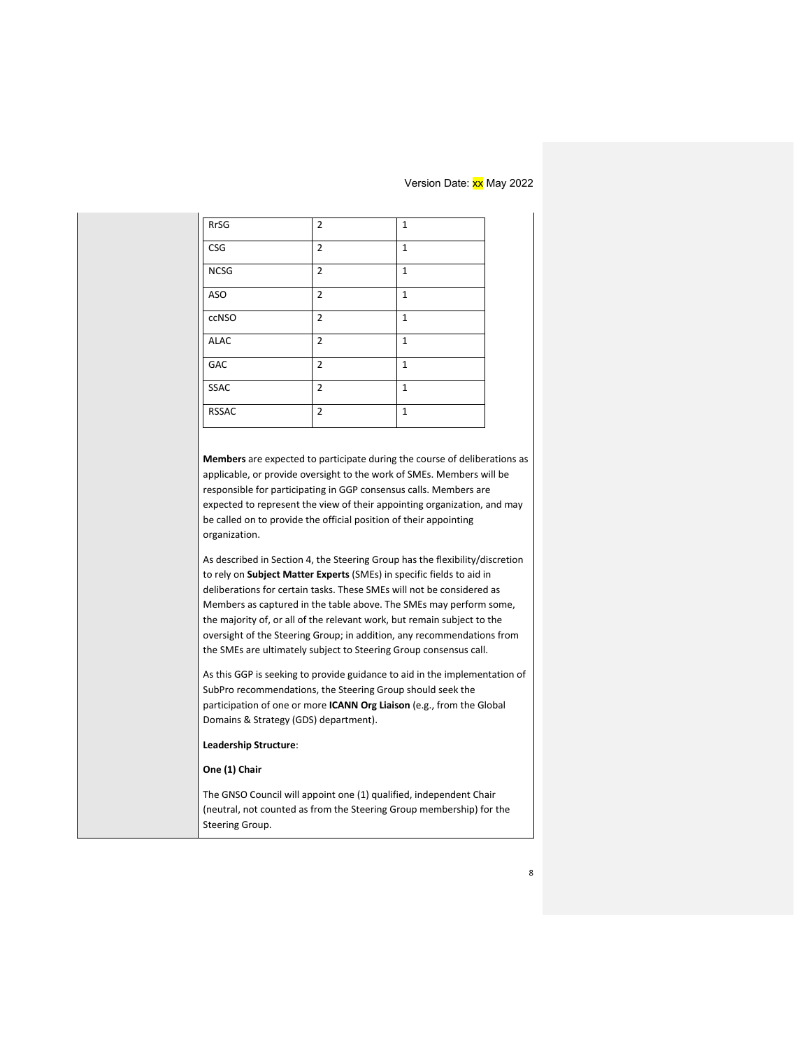| <b>RrSG</b>                                                                                                                                                                                                                                                                                                                                                                                                                                    | $\overline{2}$ | 1            |  |
|------------------------------------------------------------------------------------------------------------------------------------------------------------------------------------------------------------------------------------------------------------------------------------------------------------------------------------------------------------------------------------------------------------------------------------------------|----------------|--------------|--|
| <b>CSG</b>                                                                                                                                                                                                                                                                                                                                                                                                                                     | $\overline{2}$ | $\mathbf{1}$ |  |
| <b>NCSG</b>                                                                                                                                                                                                                                                                                                                                                                                                                                    | $\overline{2}$ | $\mathbf{1}$ |  |
| ASO                                                                                                                                                                                                                                                                                                                                                                                                                                            | 2              | 1            |  |
| ccNSO                                                                                                                                                                                                                                                                                                                                                                                                                                          | $\overline{2}$ | $\mathbf{1}$ |  |
| <b>ALAC</b>                                                                                                                                                                                                                                                                                                                                                                                                                                    | $\overline{2}$ | 1            |  |
| <b>GAC</b>                                                                                                                                                                                                                                                                                                                                                                                                                                     | 2              | $\mathbf{1}$ |  |
| <b>SSAC</b>                                                                                                                                                                                                                                                                                                                                                                                                                                    | 2              | $\mathbf{1}$ |  |
| <b>RSSAC</b>                                                                                                                                                                                                                                                                                                                                                                                                                                   | $\overline{2}$ | $\mathbf{1}$ |  |
| organization.<br>As described in Section 4, the Steering Group has the flexibility/discretion                                                                                                                                                                                                                                                                                                                                                  |                |              |  |
| to rely on Subject Matter Experts (SMEs) in specific fields to aid in<br>deliberations for certain tasks. These SMEs will not be considered as<br>Members as captured in the table above. The SMEs may perform some,<br>the majority of, or all of the relevant work, but remain subject to the<br>oversight of the Steering Group; in addition, any recommendations from<br>the SMEs are ultimately subject to Steering Group consensus call. |                |              |  |
| As this GGP is seeking to provide guidance to aid in the implementation of<br>SubPro recommendations, the Steering Group should seek the<br>participation of one or more <b>ICANN Org Liaison</b> (e.g., from the Global<br>Domains & Strategy (GDS) department).                                                                                                                                                                              |                |              |  |
| Leadership Structure:                                                                                                                                                                                                                                                                                                                                                                                                                          |                |              |  |
|                                                                                                                                                                                                                                                                                                                                                                                                                                                |                |              |  |
| One (1) Chair                                                                                                                                                                                                                                                                                                                                                                                                                                  |                |              |  |